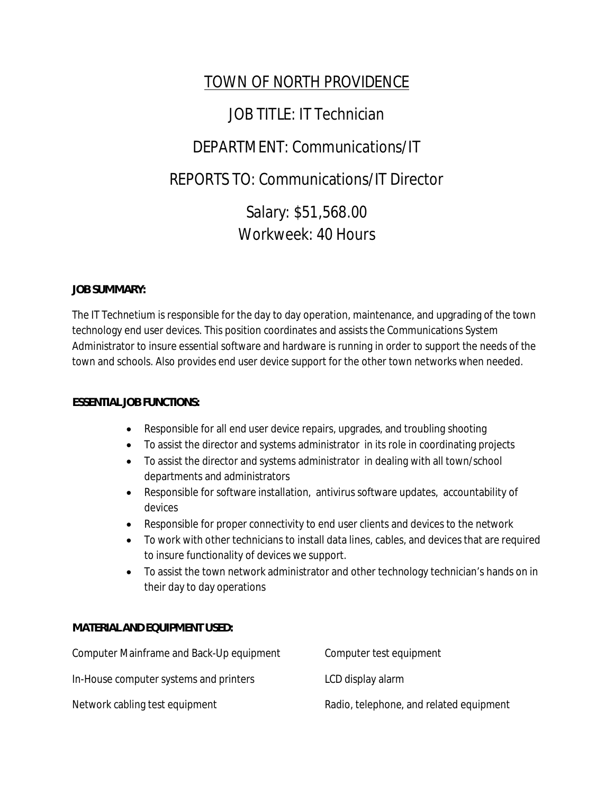# TOWN OF NORTH PROVIDENCE

# JOB TITLE: IT Technician

# DEPARTMENT: Communications/IT

## REPORTS TO: Communications/IT Director

Salary: \$51,568.00 Workweek: 40 Hours

## **JOB SUMMARY:**

The IT Technetium is responsible for the day to day operation, maintenance, and upgrading of the town technology end user devices. This position coordinates and assists the Communications System Administrator to insure essential software and hardware is running in order to support the needs of the town and schools. Also provides end user device support for the other town networks when needed.

## **ESSENTIAL JOB FUNCTIONS:**

- Responsible for all end user device repairs, upgrades, and troubling shooting
- To assist the director and systems administrator in its role in coordinating projects
- To assist the director and systems administrator in dealing with all town/school departments and administrators
- Responsible for software installation, antivirus software updates, accountability of devices
- Responsible for proper connectivity to end user clients and devices to the network
- To work with other technicians to install data lines, cables, and devices that are required to insure functionality of devices we support.
- To assist the town network administrator and other technology technician's hands on in their day to day operations

## **MATERIAL AND EQUIPMENT USED:**

| Computer Mainframe and Back-Up equipment | Computer test equipment                 |
|------------------------------------------|-----------------------------------------|
| In-House computer systems and printers   | LCD display alarm                       |
| Network cabling test equipment           | Radio, telephone, and related equipment |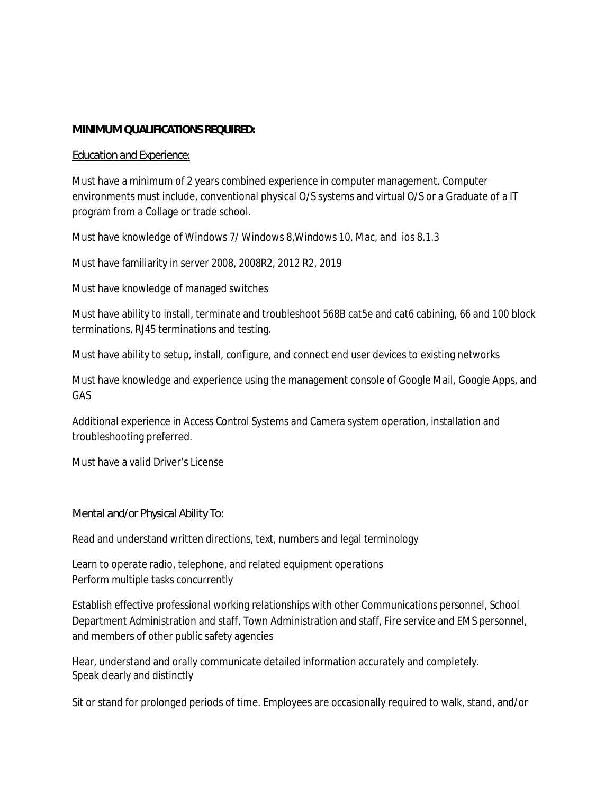### **MINIMUM QUALIFICATIONS REQUIRED:**

### *Education and Experience:*

Must have a minimum of 2 years combined experience in computer management. Computer environments must include, conventional physical O/S systems and virtual O/S or a Graduate of a IT program from a Collage or trade school.

Must have knowledge of Windows 7/ Windows 8,Windows 10, Mac, and ios 8.1.3

Must have familiarity in server 2008, 2008R2, 2012 R2, 2019

Must have knowledge of managed switches

Must have ability to install, terminate and troubleshoot 568B cat5e and cat6 cabining, 66 and 100 block terminations, RJ45 terminations and testing.

Must have ability to setup, install, configure, and connect end user devices to existing networks

Must have knowledge and experience using the management console of Google Mail, Google Apps, and GAS

Additional experience in Access Control Systems and Camera system operation, installation and troubleshooting preferred.

Must have a valid Driver's License

### *Mental and/or Physical Ability To:*

Read and understand written directions, text, numbers and legal terminology

Learn to operate radio, telephone, and related equipment operations Perform multiple tasks concurrently

Establish effective professional working relationships with other Communications personnel, School Department Administration and staff, Town Administration and staff, Fire service and EMS personnel, and members of other public safety agencies

Hear, understand and orally communicate detailed information accurately and completely. Speak clearly and distinctly

Sit or stand for prolonged periods of time. Employees are occasionally required to walk, stand, and/or